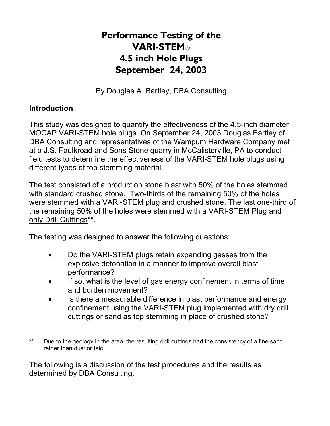## **Performance Testing of the VARI-STEM 4.5 inch Hole Plugs September 24, 2003**

By Douglas A. Bartley, DBA Consulting

## **Introduction**

This study was designed to quantify the effectiveness of the 4.5-inch diameter MOCAP VARI-STEM hole plugs. On September 24, 2003 Douglas Bartley of DBA Consulting and representatives of the Wampum Hardware Company met at a J.S. Faulkroad and Sons Stone quarry in McCalisterville, PA to conduct field tests to determine the effectiveness of the VARI-STEM hole plugs using different types of top stemming material.

The test consisted of a production stone blast with 50% of the holes stemmed with standard crushed stone. Two-thirds of the remaining 50% of the holes were stemmed with a VARI-STEM plug and crushed stone. The last one-third of the remaining 50% of the holes were stemmed with a VARI-STEM Plug and only Drill Cuttings\*\*.

The testing was designed to answer the following questions:

- Do the VARI-STEM plugs retain expanding gasses from the explosive detonation in a manner to improve overall blast performance?
- If so, what is the level of gas energy confinement in terms of time and burden movement?
- Is there a measurable difference in blast performance and energy confinement using the VARI-STEM plug implemented with dry drill cuttings or sand as top stemming in place of crushed stone?
- \*\* Due to the geology in the area, the resulting drill cuttings had the consistency of a fine sand, rather than dust or talc.

The following is a discussion of the test procedures and the results as determined by DBA Consulting.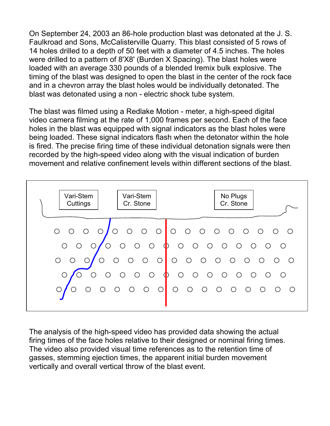On September 24, 2003 an 86-hole production blast was detonated at the J. S. Faulkroad and Sons, McCalisterville Quarry. This blast consisted of 5 rows of 14 holes drilled to a depth of 50 feet with a diameter of 4.5 inches. The holes were drilled to a pattern of 8'X8' (Burden X Spacing). The blast holes were loaded with an average 330 pounds of a blended Iremix bulk explosive. The timing of the blast was designed to open the blast in the center of the rock face and in a chevron array the blast holes would be individually detonated. The blast was detonated using a non - electric shock tube system.

The blast was filmed using a Redlake Motion - meter, a high-speed digital video camera filming at the rate of 1,000 frames per second. Each of the face holes in the blast was equipped with signal indicators as the blast holes were being loaded. These signal indicators flash when the detonator within the hole is fired. The precise firing time of these individual detonation signals were then recorded by the high-speed video along with the visual indication of burden movement and relative confinement levels within different sections of the blast.



The analysis of the high-speed video has provided data showing the actual firing times of the face holes relative to their designed or nominal firing times. The video also provided visual time references as to the retention time of gasses, stemming ejection times, the apparent initial burden movement vertically and overall vertical throw of the blast event.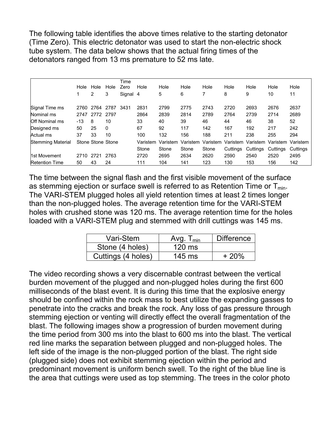The following table identifies the above times relative to the starting detonator (Time Zero). This electric detonator was used to start the non-electric shock tube system. The data below shows that the actual firing times of the detonators ranged from 13 ms premature to 52 ms late.

|                          |       |                   |      | Time     |          |          |          |          |          |          |                                     |          |
|--------------------------|-------|-------------------|------|----------|----------|----------|----------|----------|----------|----------|-------------------------------------|----------|
|                          | Hole  | Hole              | Hole | Zero     | Hole     | Hole     | Hole     | Hole     | Hole     | Hole     | Hole                                | Hole     |
|                          |       | 2                 | 3    | Signal 4 |          | 5        | 6        |          | 8        | 9        | 10                                  | 11       |
| Signal Time ms           | 2760  | 2764              | 2787 | 3431     | 2831     | 2799     | 2775     | 2743     | 2720     | 2693     | 2676                                | 2637     |
| Nominal ms               | 2747  | 2772 2797         |      |          | 2864     | 2839     | 2814     | 2789     | 2764     | 2739     | 2714                                | 2689     |
| <b>Off Nominal ms</b>    | $-13$ | 8                 | 10   |          | 33       | 40       | 39       | 46       | 44       | 46       | 38                                  | 52       |
| Designed ms              | 50    | 25                | 0    |          | 67       | 92       | 117      | 142      | 167      | 192      | 217                                 | 242      |
| Actual ms                | 37    | 33                | 10   |          | 100      | 132      | 156      | 188      | 211      | 238      | 255                                 | 294      |
| <b>Stemming Material</b> |       | Stone Stone Stone |      |          | Varistem | Varistem | Varistem | Varistem |          |          | Varistem Varistem Varistem Varistem |          |
|                          |       |                   |      |          | Stone    | Stone    | Stone    | Stone    | Cuttings | Cuttings | Cuttings                            | Cuttings |
| 1st Movement             | 2710  | 2721              | 2763 |          | 2720     | 2695     | 2634     | 2620     | 2590     | 2540     | 2520                                | 2495     |
| <b>Retention Time</b>    | 50    | 43                | 24   |          | 111      | 104      | 141      | 123      | 130      | 153      | 156                                 | 142      |

The time between the signal flash and the first visible movement of the surface as stemming ejection or surface swell is referred to as Retention Time or  $T_{min}$ . The VARI-STEM plugged holes all yield retention times at least 2 times longer than the non-plugged holes. The average retention time for the VARI-STEM holes with crushed stone was 120 ms. The average retention time for the holes loaded with a VARI-STEM plug and stemmed with drill cuttings was 145 ms.

| Vari-Stem          | Avg.<br>$\mathsf{I}_{\mathsf{min}}$ | <b>Difference</b> |  |  |
|--------------------|-------------------------------------|-------------------|--|--|
| Stone (4 holes)    | $120 \text{ ms}$                    |                   |  |  |
| Cuttings (4 holes) | $145$ ms                            | $+20%$            |  |  |

The video recording shows a very discernable contrast between the vertical burden movement of the plugged and non-plugged holes during the first 600 milliseconds of the blast event. It is during this time that the explosive energy should be confined within the rock mass to best utilize the expanding gasses to penetrate into the cracks and break the rock. Any loss of gas pressure through stemming ejection or venting will directly effect the overall fragmentation of the blast. The following images show a progression of burden movement during the time period from 300 ms into the blast to 600 ms into the blast. The vertical red line marks the separation between plugged and non-plugged holes. The left side of the image is the non-plugged portion of the blast. The right side (plugged side) does not exhibit stemming ejection within the period and predominant movement is uniform bench swell. To the right of the blue line is the area that cuttings were used as top stemming. The trees in the color photo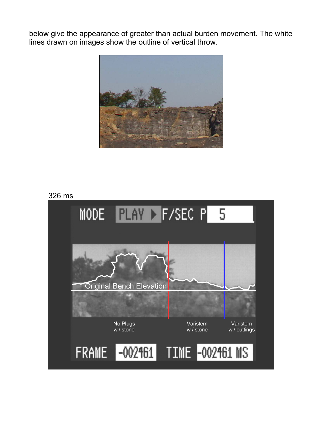below give the appearance of greater than actual burden movement. The white lines drawn on images show the outline of vertical throw.



## 326 ms

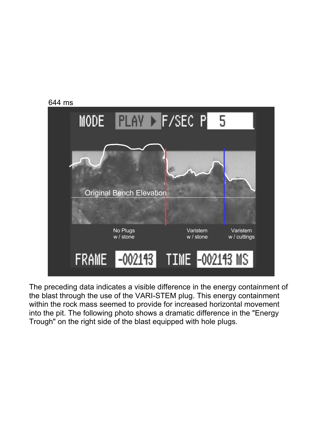

The preceding data indicates a visible difference in the energy containment of the blast through the use of the VARI-STEM plug. This energy containment within the rock mass seemed to provide for increased horizontal movement into the pit. The following photo shows a dramatic difference in the "Energy Trough" on the right side of the blast equipped with hole plugs.